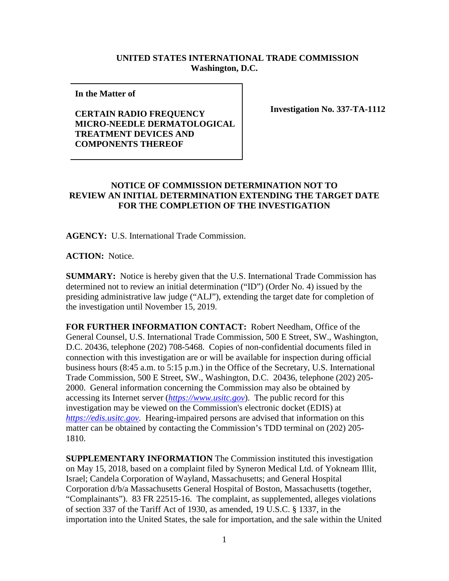## **UNITED STATES INTERNATIONAL TRADE COMMISSION Washington, D.C.**

**In the Matter of** 

## **CERTAIN RADIO FREQUENCY MICRO-NEEDLE DERMATOLOGICAL TREATMENT DEVICES AND COMPONENTS THEREOF**

**Investigation No. 337-TA-1112**

## **NOTICE OF COMMISSION DETERMINATION NOT TO REVIEW AN INITIAL DETERMINATION EXTENDING THE TARGET DATE FOR THE COMPLETION OF THE INVESTIGATION**

**AGENCY:** U.S. International Trade Commission.

**ACTION:** Notice.

**SUMMARY:** Notice is hereby given that the U.S. International Trade Commission has determined not to review an initial determination ("ID") (Order No. 4) issued by the presiding administrative law judge ("ALJ"), extending the target date for completion of the investigation until November 15, 2019.

**FOR FURTHER INFORMATION CONTACT:** Robert Needham, Office of the General Counsel, U.S. International Trade Commission, 500 E Street, SW., Washington, D.C. 20436, telephone (202) 708-5468. Copies of non-confidential documents filed in connection with this investigation are or will be available for inspection during official business hours (8:45 a.m. to 5:15 p.m.) in the Office of the Secretary, U.S. International Trade Commission, 500 E Street, SW., Washington, D.C. 20436, telephone (202) 205- 2000. General information concerning the Commission may also be obtained by accessing its Internet server (*[https://www.usitc.gov](https://www.usitc.gov/)*). The public record for this investigation may be viewed on the Commission's electronic docket (EDIS) at *[https://edis.usitc.gov](https://edis.usitc.gov/)*. Hearing-impaired persons are advised that information on this matter can be obtained by contacting the Commission's TDD terminal on (202) 205- 1810.

**SUPPLEMENTARY INFORMATION** The Commission instituted this investigation on May 15, 2018, based on a complaint filed by Syneron Medical Ltd. of Yokneam Illit, Israel; Candela Corporation of Wayland, Massachusetts; and General Hospital Corporation d/b/a Massachusetts General Hospital of Boston, Massachusetts (together, "Complainants"). 83 FR 22515-16. The complaint, as supplemented, alleges violations of section 337 of the Tariff Act of 1930, as amended, 19 U.S.C. § 1337, in the importation into the United States, the sale for importation, and the sale within the United